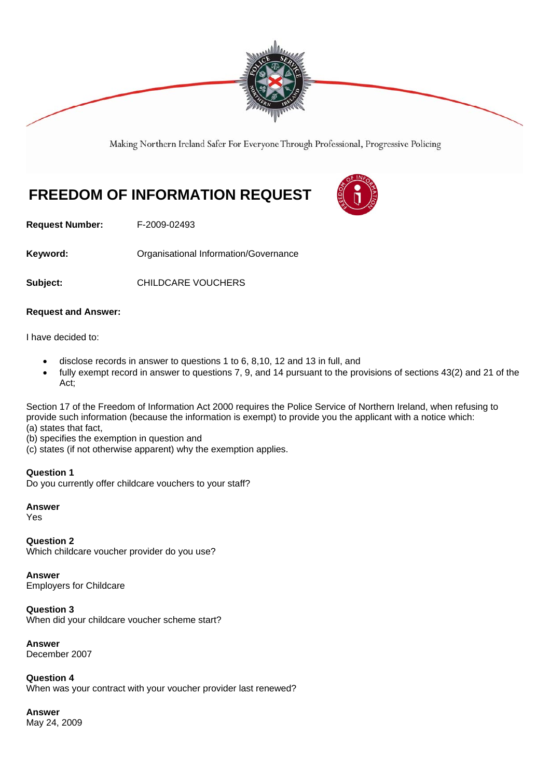

Making Northern Ireland Safer For Everyone Through Professional, Progressive Policing

# **FREEDOM OF INFORMATION REQUEST**



**Request Number:** F-2009-02493

Keyword: **Communistry Communists** Organisational Information/Governance

**Subject:** CHILDCARE VOUCHERS

## **Request and Answer:**

I have decided to:

- disclose records in answer to questions 1 to 6, 8,10, 12 and 13 in full, and
- fully exempt record in answer to questions 7, 9, and 14 pursuant to the provisions of sections 43(2) and 21 of the Act;

Section 17 of the Freedom of Information Act 2000 requires the Police Service of Northern Ireland, when refusing to provide such information (because the information is exempt) to provide you the applicant with a notice which: (a) states that fact,

- (b) specifies the exemption in question and
- (c) states (if not otherwise apparent) why the exemption applies.

## **Question 1**

Do you currently offer childcare vouchers to your staff?

**Answer** 

Yes

**Question 2**  Which childcare voucher provider do you use?

**Answer**  Employers for Childcare

**Question 3**  When did your childcare voucher scheme start?

**Answer**  December 2007

**Question 4**  When was your contract with your voucher provider last renewed?

**Answer**  May 24, 2009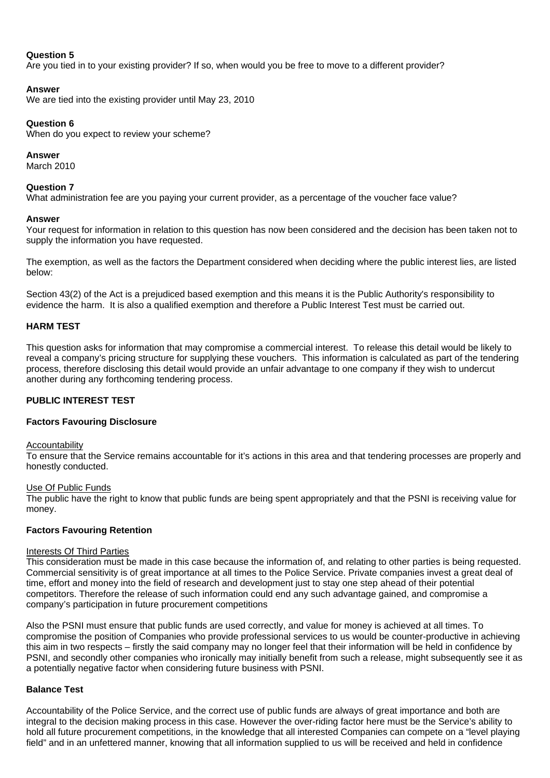# **Question 5**

Are you tied in to your existing provider? If so, when would you be free to move to a different provider?

# **Answer**

We are tied into the existing provider until May 23, 2010

# **Question 6**

When do you expect to review your scheme?

# **Answer**

March 2010

## **Question 7**

What administration fee are you paying your current provider, as a percentage of the voucher face value?

## **Answer**

Your request for information in relation to this question has now been considered and the decision has been taken not to supply the information you have requested.

The exemption, as well as the factors the Department considered when deciding where the public interest lies, are listed below:

Section 43(2) of the Act is a prejudiced based exemption and this means it is the Public Authority's responsibility to evidence the harm. It is also a qualified exemption and therefore a Public Interest Test must be carried out.

## **HARM TEST**

This question asks for information that may compromise a commercial interest. To release this detail would be likely to reveal a company's pricing structure for supplying these vouchers. This information is calculated as part of the tendering process, therefore disclosing this detail would provide an unfair advantage to one company if they wish to undercut another during any forthcoming tendering process.

# **PUBLIC INTEREST TEST**

## **Factors Favouring Disclosure**

#### Accountability

To ensure that the Service remains accountable for it's actions in this area and that tendering processes are properly and honestly conducted.

## Use Of Public Funds

The public have the right to know that public funds are being spent appropriately and that the PSNI is receiving value for money.

# **Factors Favouring Retention**

#### Interests Of Third Parties

This consideration must be made in this case because the information of, and relating to other parties is being requested. Commercial sensitivity is of great importance at all times to the Police Service. Private companies invest a great deal of time, effort and money into the field of research and development just to stay one step ahead of their potential competitors. Therefore the release of such information could end any such advantage gained, and compromise a company's participation in future procurement competitions

Also the PSNI must ensure that public funds are used correctly, and value for money is achieved at all times. To compromise the position of Companies who provide professional services to us would be counter-productive in achieving this aim in two respects – firstly the said company may no longer feel that their information will be held in confidence by PSNI, and secondly other companies who ironically may initially benefit from such a release, might subsequently see it as a potentially negative factor when considering future business with PSNI.

## **Balance Test**

Accountability of the Police Service, and the correct use of public funds are always of great importance and both are integral to the decision making process in this case. However the over-riding factor here must be the Service's ability to hold all future procurement competitions, in the knowledge that all interested Companies can compete on a "level playing field" and in an unfettered manner, knowing that all information supplied to us will be received and held in confidence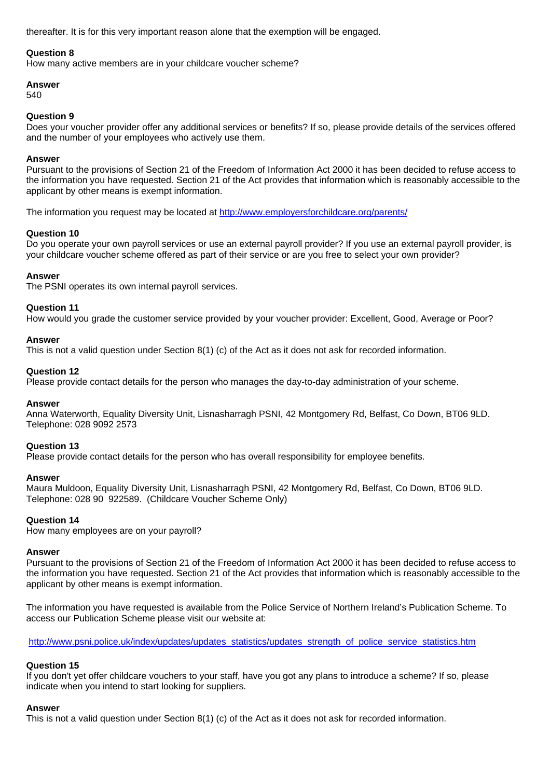thereafter. It is for this very important reason alone that the exemption will be engaged.

#### **Question 8**

How many active members are in your childcare voucher scheme?

# **Answer**

540

#### **Question 9**

Does your voucher provider offer any additional services or benefits? If so, please provide details of the services offered and the number of your employees who actively use them.

#### **Answer**

Pursuant to the provisions of Section 21 of the Freedom of Information Act 2000 it has been decided to refuse access to the information you have requested. Section 21 of the Act provides that information which is reasonably accessible to the applicant by other means is exempt information.

The information you request may be located at http://www.employersforchildcare.org/parents/

## **Question 10**

Do you operate your own payroll services or use an external payroll provider? If you use an external payroll provider, is your childcare voucher scheme offered as part of their service or are you free to select your own provider?

## **Answer**

The PSNI operates its own internal payroll services.

#### **Question 11**

How would you grade the customer service provided by your voucher provider: Excellent, Good, Average or Poor?

#### **Answer**

This is not a valid question under Section 8(1) (c) of the Act as it does not ask for recorded information.

#### **Question 12**

Please provide contact details for the person who manages the day-to-day administration of your scheme.

#### **Answer**

Anna Waterworth, Equality Diversity Unit, Lisnasharragh PSNI, 42 Montgomery Rd, Belfast, Co Down, BT06 9LD. Telephone: 028 9092 2573

## **Question 13**

Please provide contact details for the person who has overall responsibility for employee benefits.

#### **Answer**

Maura Muldoon, Equality Diversity Unit, Lisnasharragh PSNI, 42 Montgomery Rd, Belfast, Co Down, BT06 9LD. Telephone: 028 90 922589. (Childcare Voucher Scheme Only)

## **Question 14**

How many employees are on your payroll?

#### **Answer**

Pursuant to the provisions of Section 21 of the Freedom of Information Act 2000 it has been decided to refuse access to the information you have requested. Section 21 of the Act provides that information which is reasonably accessible to the applicant by other means is exempt information.

The information you have requested is available from the Police Service of Northern Ireland's Publication Scheme. To access our Publication Scheme please visit our website at:

http://www.psni.police.uk/index/updates/updates\_statistics/updates\_strength\_of\_police\_service\_statistics.htm

## **Question 15**

If you don't yet offer childcare vouchers to your staff, have you got any plans to introduce a scheme? If so, please indicate when you intend to start looking for suppliers.

#### **Answer**

This is not a valid question under Section 8(1) (c) of the Act as it does not ask for recorded information.